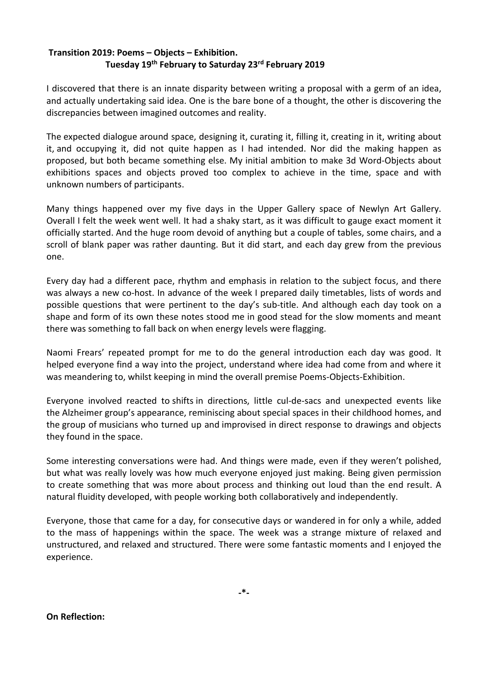## **Transition 2019: Poems – Objects – Exhibition. Tuesday 19th February to Saturday 23rd February 2019**

I discovered that there is an innate disparity between writing a proposal with a germ of an idea, and actually undertaking said idea. One is the bare bone of a thought, the other is discovering the discrepancies between imagined outcomes and reality.

The expected dialogue around space, designing it, curating it, filling it, creating in it, writing about it, and occupying it, did not quite happen as I had intended. Nor did the making happen as proposed, but both became something else. My initial ambition to make 3d Word-Objects about exhibitions spaces and objects proved too complex to achieve in the time, space and with unknown numbers of participants.

Many things happened over my five days in the Upper Gallery space of Newlyn Art Gallery. Overall I felt the week went well. It had a shaky start, as it was difficult to gauge exact moment it officially started. And the huge room devoid of anything but a couple of tables, some chairs, and a scroll of blank paper was rather daunting. But it did start, and each day grew from the previous one.

Every day had a different pace, rhythm and emphasis in relation to the subject focus, and there was always a new co-host. In advance of the week I prepared daily timetables, lists of words and possible questions that were pertinent to the day's sub-title. And although each day took on a shape and form of its own these notes stood me in good stead for the slow moments and meant there was something to fall back on when energy levels were flagging.

Naomi Frears' repeated prompt for me to do the general introduction each day was good. It helped everyone find a way into the project, understand where idea had come from and where it was meandering to, whilst keeping in mind the overall premise Poems-Objects-Exhibition.

Everyone involved reacted to shifts in directions, little cul-de-sacs and unexpected events like the Alzheimer group's appearance, reminiscing about special spaces in their childhood homes, and the group of musicians who turned up and improvised in direct response to drawings and objects they found in the space.

Some interesting conversations were had. And things were made, even if they weren't polished, but what was really lovely was how much everyone enjoyed just making. Being given permission to create something that was more about process and thinking out loud than the end result. A natural fluidity developed, with people working both collaboratively and independently.

Everyone, those that came for a day, for consecutive days or wandered in for only a while, added to the mass of happenings within the space. The week was a strange mixture of relaxed and unstructured, and relaxed and structured. There were some fantastic moments and I enjoyed the experience.

**On Reflection:**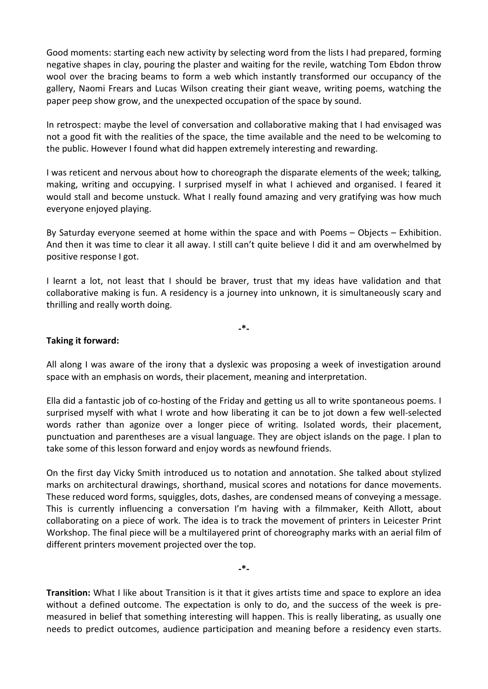Good moments: starting each new activity by selecting word from the lists I had prepared, forming negative shapes in clay, pouring the plaster and waiting for the revile, watching Tom Ebdon throw wool over the bracing beams to form a web which instantly transformed our occupancy of the gallery, Naomi Frears and Lucas Wilson creating their giant weave, writing poems, watching the paper peep show grow, and the unexpected occupation of the space by sound.

In retrospect: maybe the level of conversation and collaborative making that I had envisaged was not a good fit with the realities of the space, the time available and the need to be welcoming to the public. However I found what did happen extremely interesting and rewarding.

I was reticent and nervous about how to choreograph the disparate elements of the week; talking, making, writing and occupying. I surprised myself in what I achieved and organised. I feared it would stall and become unstuck. What I really found amazing and very gratifying was how much everyone enjoyed playing.

By Saturday everyone seemed at home within the space and with Poems – Objects – Exhibition. And then it was time to clear it all away. I still can't quite believe I did it and am overwhelmed by positive response I got.

I learnt a lot, not least that I should be braver, trust that my ideas have validation and that collaborative making is fun. A residency is a journey into unknown, it is simultaneously scary and thrilling and really worth doing.

**-\*-**

## **Taking it forward:**

All along I was aware of the irony that a dyslexic was proposing a week of investigation around space with an emphasis on words, their placement, meaning and interpretation.

Ella did a fantastic job of co-hosting of the Friday and getting us all to write spontaneous poems. I surprised myself with what I wrote and how liberating it can be to jot down a few well-selected words rather than agonize over a longer piece of writing. Isolated words, their placement, punctuation and parentheses are a visual language. They are object islands on the page. I plan to take some of this lesson forward and enjoy words as newfound friends.

On the first day Vicky Smith introduced us to notation and annotation. She talked about stylized marks on architectural drawings, shorthand, musical scores and notations for dance movements. These reduced word forms, squiggles, dots, dashes, are condensed means of conveying a message. This is currently influencing a conversation I'm having with a filmmaker, Keith Allott, about collaborating on a piece of work. The idea is to track the movement of printers in Leicester Print Workshop. The final piece will be a multilayered print of choreography marks with an aerial film of different printers movement projected over the top.

**-\*-**

**Transition:** What I like about Transition is it that it gives artists time and space to explore an idea without a defined outcome. The expectation is only to do, and the success of the week is premeasured in belief that something interesting will happen. This is really liberating, as usually one needs to predict outcomes, audience participation and meaning before a residency even starts.